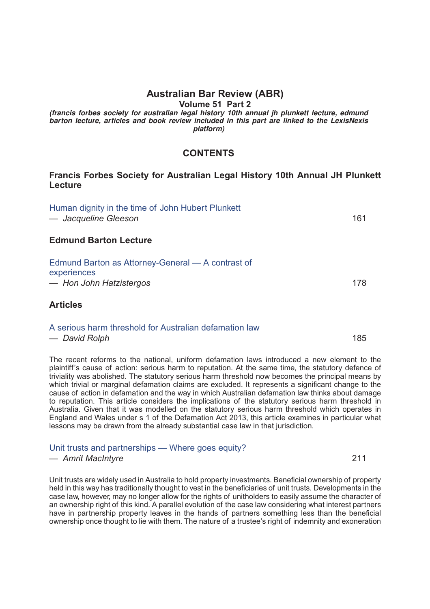# **Australian Bar Review (ABR)**

**Volume 51 Part 2**

*(francis forbes society for australian legal history 10th annual jh plunkett lecture, edmund barton lecture, articles and book review included in this part are linked to the LexisNexis platform)*

## **CONTENTS**

## **Francis Forbes Society for Australian Legal History 10th Annual JH Plunkett Lecture**

| Human dignity in the time of John Hubert Plunkett<br>— Jacqueline Gleeson                   | 161 |
|---------------------------------------------------------------------------------------------|-----|
| <b>Edmund Barton Lecture</b>                                                                |     |
| Edmund Barton as Attorney-General — A contrast of<br>experiences<br>- Hon John Hatzistergos | 178 |
| <b>Articles</b>                                                                             |     |

| A serious harm threshold for Australian defamation law |     |
|--------------------------------------------------------|-----|
| — David Rolph                                          | 185 |

The recent reforms to the national, uniform defamation laws introduced a new element to the plaintiff's cause of action: serious harm to reputation. At the same time, the statutory defence of triviality was abolished. The statutory serious harm threshold now becomes the principal means by which trivial or marginal defamation claims are excluded. It represents a significant change to the cause of action in defamation and the way in which Australian defamation law thinks about damage to reputation. This article considers the implications of the statutory serious harm threshold in Australia. Given that it was modelled on the statutory serious harm threshold which operates in England and Wales under s 1 of the Defamation Act 2013, this article examines in particular what lessons may be drawn from the already substantial case law in that jurisdiction.

### [Unit trusts and partnerships — Where goes equity?](http://advance.lexis.com/api/document?idtype=DOC-ID&id=005J-51ABR211)

#### *— Amrit MacIntyre* 211

Unit trusts are widely used in Australia to hold property investments. Beneficial ownership of property held in this way has traditionally thought to vest in the beneficiaries of unit trusts. Developments in the case law, however, may no longer allow for the rights of unitholders to easily assume the character of an ownership right of this kind. A parallel evolution of the case law considering what interest partners have in partnership property leaves in the hands of partners something less than the beneficial ownership once thought to lie with them. The nature of a trustee's right of indemnity and exoneration